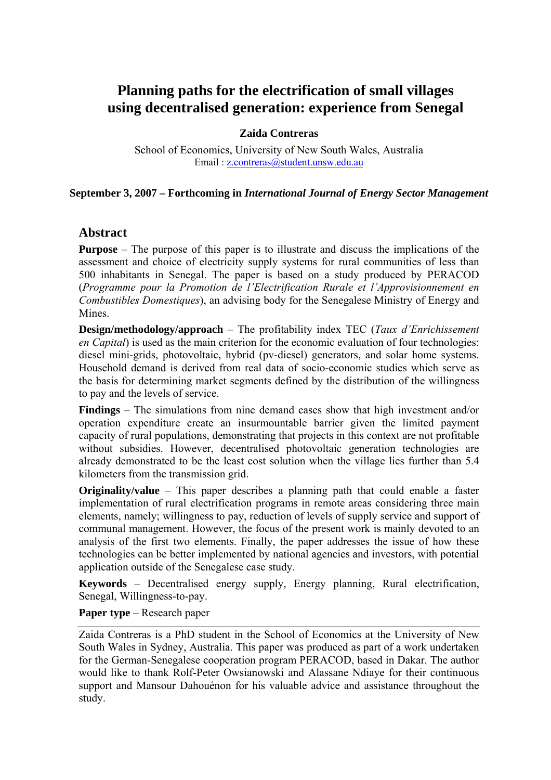# **Planning paths for the electrification of small villages using decentralised generation: experience from Senegal**

# **Zaida Contreras**

School of Economics, University of New South Wales, Australia Email : z.contreras@student.unsw.edu.au

## **September 3, 2007 – Forthcoming in** *International Journal of Energy Sector Management*

## **Abstract**

**Purpose** – The purpose of this paper is to illustrate and discuss the implications of the assessment and choice of electricity supply systems for rural communities of less than 500 inhabitants in Senegal. The paper is based on a study produced by PERACOD (*Programme pour la Promotion de l'Electrification Rurale et l'Approvisionnement en Combustibles Domestiques*), an advising body for the Senegalese Ministry of Energy and **Mines**.

**Design/methodology/approach** – The profitability index TEC (*Taux d'Enrichissement en Capital*) is used as the main criterion for the economic evaluation of four technologies: diesel mini-grids, photovoltaic, hybrid (pv-diesel) generators, and solar home systems. Household demand is derived from real data of socio-economic studies which serve as the basis for determining market segments defined by the distribution of the willingness to pay and the levels of service.

**Findings** – The simulations from nine demand cases show that high investment and/or operation expenditure create an insurmountable barrier given the limited payment capacity of rural populations, demonstrating that projects in this context are not profitable without subsidies. However, decentralised photovoltaic generation technologies are already demonstrated to be the least cost solution when the village lies further than 5.4 kilometers from the transmission grid.

**Originality/value** – This paper describes a planning path that could enable a faster implementation of rural electrification programs in remote areas considering three main elements, namely; willingness to pay, reduction of levels of supply service and support of communal management. However, the focus of the present work is mainly devoted to an analysis of the first two elements. Finally, the paper addresses the issue of how these technologies can be better implemented by national agencies and investors, with potential application outside of the Senegalese case study.

**Keywords** – Decentralised energy supply, Energy planning, Rural electrification, Senegal, Willingness-to-pay.

**Paper type** – Research paper

Zaida Contreras is a PhD student in the School of Economics at the University of New South Wales in Sydney, Australia. This paper was produced as part of a work undertaken for the German-Senegalese cooperation program PERACOD, based in Dakar. The author would like to thank Rolf-Peter Owsianowski and Alassane Ndiaye for their continuous support and Mansour Dahouénon for his valuable advice and assistance throughout the study.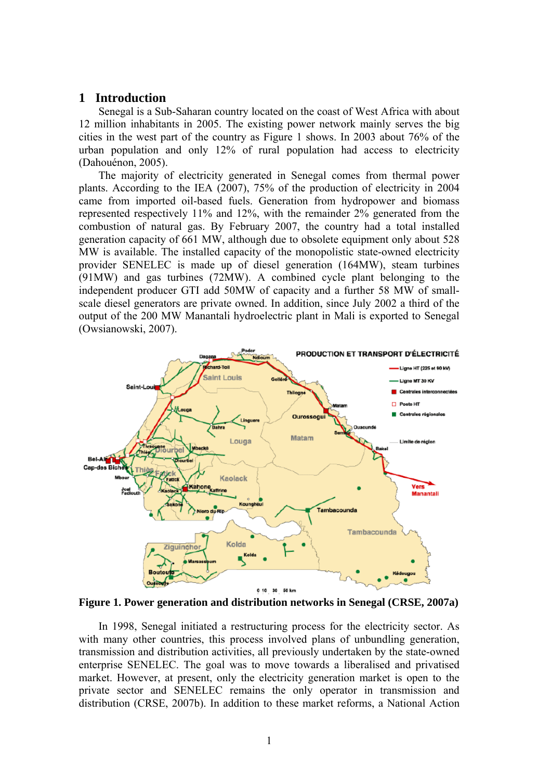## **1 Introduction**

Senegal is a Sub-Saharan country located on the coast of West Africa with about 12 million inhabitants in 2005. The existing power network mainly serves the big cities in the west part of the country as Figure 1 shows. In 2003 about 76% of the urban population and only 12% of rural population had access to electricity (Dahouénon, 2005).

The majority of electricity generated in Senegal comes from thermal power plants. According to the IEA (2007), 75% of the production of electricity in 2004 came from imported oil-based fuels. Generation from hydropower and biomass represented respectively 11% and 12%, with the remainder 2% generated from the combustion of natural gas. By February 2007, the country had a total installed generation capacity of 661 MW, although due to obsolete equipment only about 528 MW is available. The installed capacity of the monopolistic state-owned electricity provider SENELEC is made up of diesel generation (164MW), steam turbines (91MW) and gas turbines (72MW). A combined cycle plant belonging to the independent producer GTI add 50MW of capacity and a further 58 MW of smallscale diesel generators are private owned. In addition, since July 2002 a third of the output of the 200 MW Manantali hydroelectric plant in Mali is exported to Senegal (Owsianowski, 2007).



**Figure 1. Power generation and distribution networks in Senegal (CRSE, 2007a)** 

In 1998, Senegal initiated a restructuring process for the electricity sector. As with many other countries, this process involved plans of unbundling generation, transmission and distribution activities, all previously undertaken by the state-owned enterprise SENELEC. The goal was to move towards a liberalised and privatised market. However, at present, only the electricity generation market is open to the private sector and SENELEC remains the only operator in transmission and distribution (CRSE, 2007b). In addition to these market reforms, a National Action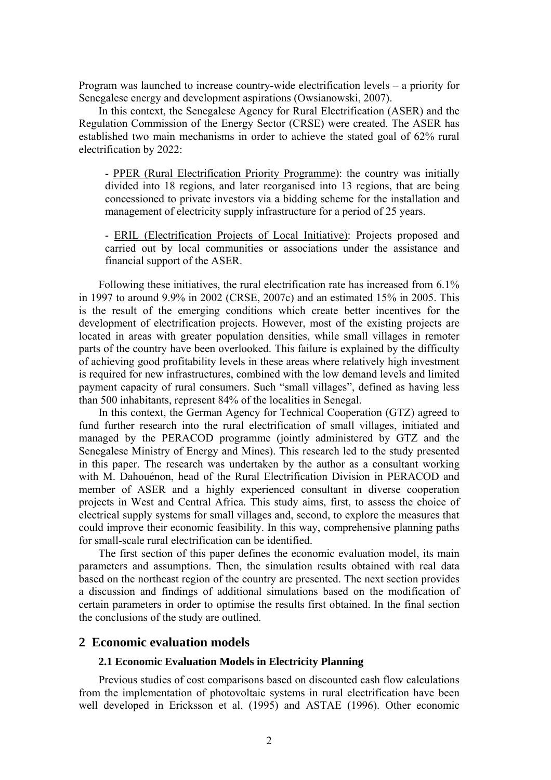Program was launched to increase country-wide electrification levels – a priority for Senegalese energy and development aspirations (Owsianowski, 2007).

In this context, the Senegalese Agency for Rural Electrification (ASER) and the Regulation Commission of the Energy Sector (CRSE) were created. The ASER has established two main mechanisms in order to achieve the stated goal of 62% rural electrification by 2022:

- PPER (Rural Electrification Priority Programme): the country was initially divided into 18 regions, and later reorganised into 13 regions, that are being concessioned to private investors via a bidding scheme for the installation and management of electricity supply infrastructure for a period of 25 years.

- ERIL (Electrification Projects of Local Initiative): Projects proposed and carried out by local communities or associations under the assistance and financial support of the ASER.

Following these initiatives, the rural electrification rate has increased from 6.1% in 1997 to around 9.9% in 2002 (CRSE, 2007c) and an estimated 15% in 2005. This is the result of the emerging conditions which create better incentives for the development of electrification projects. However, most of the existing projects are located in areas with greater population densities, while small villages in remoter parts of the country have been overlooked. This failure is explained by the difficulty of achieving good profitability levels in these areas where relatively high investment is required for new infrastructures, combined with the low demand levels and limited payment capacity of rural consumers. Such "small villages", defined as having less than 500 inhabitants, represent 84% of the localities in Senegal.

In this context, the German Agency for Technical Cooperation (GTZ) agreed to fund further research into the rural electrification of small villages, initiated and managed by the PERACOD programme (jointly administered by GTZ and the Senegalese Ministry of Energy and Mines). This research led to the study presented in this paper. The research was undertaken by the author as a consultant working with M. Dahouénon, head of the Rural Electrification Division in PERACOD and member of ASER and a highly experienced consultant in diverse cooperation projects in West and Central Africa. This study aims, first, to assess the choice of electrical supply systems for small villages and, second, to explore the measures that could improve their economic feasibility. In this way, comprehensive planning paths for small-scale rural electrification can be identified.

The first section of this paper defines the economic evaluation model, its main parameters and assumptions. Then, the simulation results obtained with real data based on the northeast region of the country are presented. The next section provides a discussion and findings of additional simulations based on the modification of certain parameters in order to optimise the results first obtained. In the final section the conclusions of the study are outlined.

## **2 Economic evaluation models**

#### **2.1 Economic Evaluation Models in Electricity Planning**

Previous studies of cost comparisons based on discounted cash flow calculations from the implementation of photovoltaic systems in rural electrification have been well developed in Ericksson et al. (1995) and ASTAE (1996). Other economic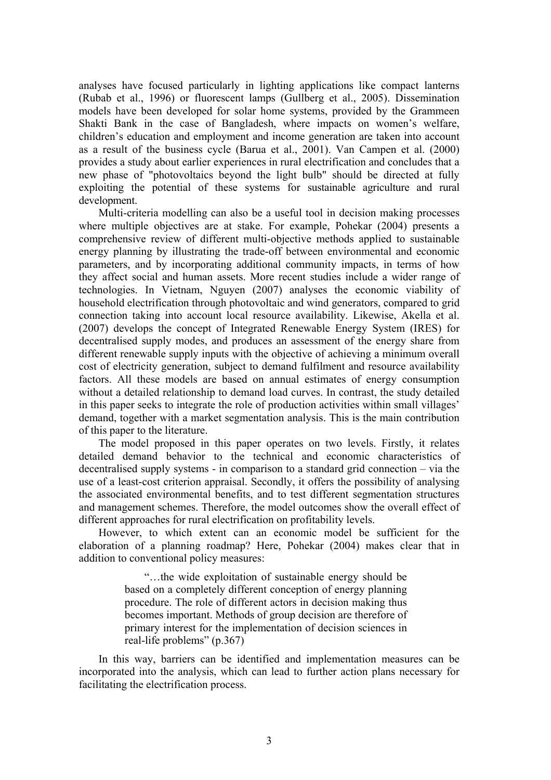analyses have focused particularly in lighting applications like compact lanterns (Rubab et al., 1996) or fluorescent lamps (Gullberg et al., 2005). Dissemination models have been developed for solar home systems, provided by the Grammeen Shakti Bank in the case of Bangladesh, where impacts on women's welfare, children's education and employment and income generation are taken into account as a result of the business cycle (Barua et al., 2001). Van Campen et al. (2000) provides a study about earlier experiences in rural electrification and concludes that a new phase of "photovoltaics beyond the light bulb" should be directed at fully exploiting the potential of these systems for sustainable agriculture and rural development.

Multi-criteria modelling can also be a useful tool in decision making processes where multiple objectives are at stake. For example, Pohekar (2004) presents a comprehensive review of different multi-objective methods applied to sustainable energy planning by illustrating the trade-off between environmental and economic parameters, and by incorporating additional community impacts, in terms of how they affect social and human assets. More recent studies include a wider range of technologies. In Vietnam, Nguyen (2007) analyses the economic viability of household electrification through photovoltaic and wind generators, compared to grid connection taking into account local resource availability. Likewise, Akella et al. (2007) develops the concept of Integrated Renewable Energy System (IRES) for decentralised supply modes, and produces an assessment of the energy share from different renewable supply inputs with the objective of achieving a minimum overall cost of electricity generation, subject to demand fulfilment and resource availability factors. All these models are based on annual estimates of energy consumption without a detailed relationship to demand load curves. In contrast, the study detailed in this paper seeks to integrate the role of production activities within small villages' demand, together with a market segmentation analysis. This is the main contribution of this paper to the literature.

The model proposed in this paper operates on two levels. Firstly, it relates detailed demand behavior to the technical and economic characteristics of decentralised supply systems - in comparison to a standard grid connection – via the use of a least-cost criterion appraisal. Secondly, it offers the possibility of analysing the associated environmental benefits, and to test different segmentation structures and management schemes. Therefore, the model outcomes show the overall effect of different approaches for rural electrification on profitability levels.

However, to which extent can an economic model be sufficient for the elaboration of a planning roadmap? Here, Pohekar (2004) makes clear that in addition to conventional policy measures:

> "…the wide exploitation of sustainable energy should be based on a completely different conception of energy planning procedure. The role of different actors in decision making thus becomes important. Methods of group decision are therefore of primary interest for the implementation of decision sciences in real-life problems" (p.367)

In this way, barriers can be identified and implementation measures can be incorporated into the analysis, which can lead to further action plans necessary for facilitating the electrification process.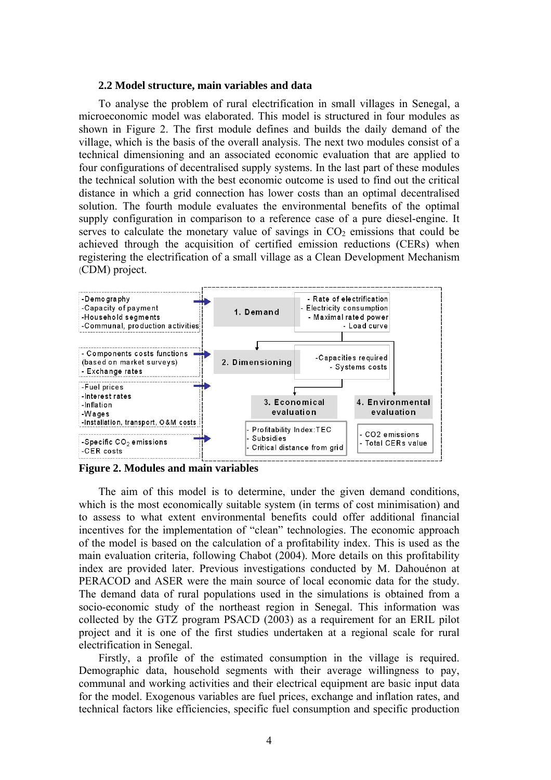#### **2.2 Model structure, main variables and data**

To analyse the problem of rural electrification in small villages in Senegal, a microeconomic model was elaborated. This model is structured in four modules as shown in Figure 2. The first module defines and builds the daily demand of the village, which is the basis of the overall analysis. The next two modules consist of a technical dimensioning and an associated economic evaluation that are applied to four configurations of decentralised supply systems. In the last part of these modules the technical solution with the best economic outcome is used to find out the critical distance in which a grid connection has lower costs than an optimal decentralised solution. The fourth module evaluates the environmental benefits of the optimal supply configuration in comparison to a reference case of a pure diesel-engine. It serves to calculate the monetary value of savings in  $CO<sub>2</sub>$  emissions that could be achieved through the acquisition of certified emission reductions (CERs) when registering the electrification of a small village as a Clean Development Mechanism (CDM) project.



**Figure 2. Modules and main variables** 

The aim of this model is to determine, under the given demand conditions, which is the most economically suitable system (in terms of cost minimisation) and to assess to what extent environmental benefits could offer additional financial incentives for the implementation of "clean" technologies. The economic approach of the model is based on the calculation of a profitability index. This is used as the main evaluation criteria, following Chabot (2004). More details on this profitability index are provided later. Previous investigations conducted by M. Dahouénon at PERACOD and ASER were the main source of local economic data for the study. The demand data of rural populations used in the simulations is obtained from a socio-economic study of the northeast region in Senegal. This information was collected by the GTZ program PSACD (2003) as a requirement for an ERIL pilot project and it is one of the first studies undertaken at a regional scale for rural electrification in Senegal.

Firstly, a profile of the estimated consumption in the village is required. Demographic data, household segments with their average willingness to pay, communal and working activities and their electrical equipment are basic input data for the model. Exogenous variables are fuel prices, exchange and inflation rates, and technical factors like efficiencies, specific fuel consumption and specific production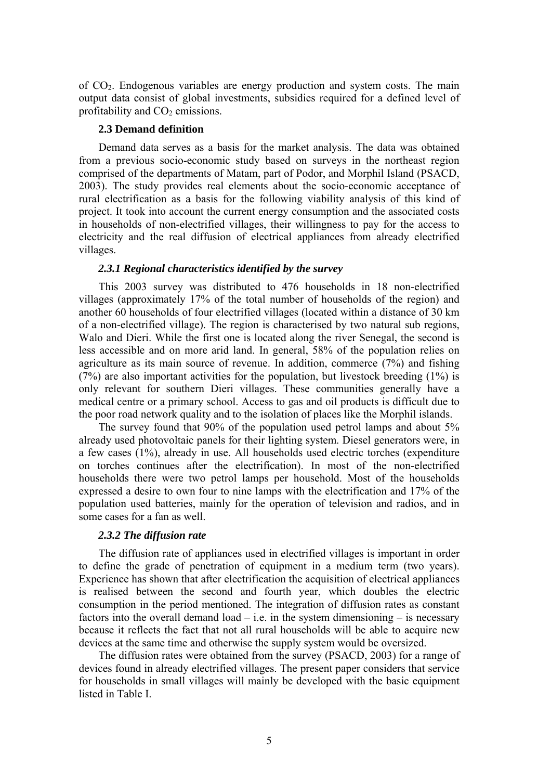of CO2. Endogenous variables are energy production and system costs. The main output data consist of global investments, subsidies required for a defined level of profitability and  $CO<sub>2</sub>$  emissions.

## **2.3 Demand definition**

Demand data serves as a basis for the market analysis. The data was obtained from a previous socio-economic study based on surveys in the northeast region comprised of the departments of Matam, part of Podor, and Morphil Island (PSACD, 2003). The study provides real elements about the socio-economic acceptance of rural electrification as a basis for the following viability analysis of this kind of project. It took into account the current energy consumption and the associated costs in households of non-electrified villages, their willingness to pay for the access to electricity and the real diffusion of electrical appliances from already electrified villages.

## *2.3.1 Regional characteristics identified by the survey*

This 2003 survey was distributed to 476 households in 18 non-electrified villages (approximately 17% of the total number of households of the region) and another 60 households of four electrified villages (located within a distance of 30 km of a non-electrified village). The region is characterised by two natural sub regions, Walo and Dieri. While the first one is located along the river Senegal, the second is less accessible and on more arid land. In general, 58% of the population relies on agriculture as its main source of revenue. In addition, commerce (7%) and fishing (7%) are also important activities for the population, but livestock breeding (1%) is only relevant for southern Dieri villages. These communities generally have a medical centre or a primary school. Access to gas and oil products is difficult due to the poor road network quality and to the isolation of places like the Morphil islands.

The survey found that 90% of the population used petrol lamps and about 5% already used photovoltaic panels for their lighting system. Diesel generators were, in a few cases (1%), already in use. All households used electric torches (expenditure on torches continues after the electrification). In most of the non-electrified households there were two petrol lamps per household. Most of the households expressed a desire to own four to nine lamps with the electrification and 17% of the population used batteries, mainly for the operation of television and radios, and in some cases for a fan as well.

#### *2.3.2 The diffusion rate*

The diffusion rate of appliances used in electrified villages is important in order to define the grade of penetration of equipment in a medium term (two years). Experience has shown that after electrification the acquisition of electrical appliances is realised between the second and fourth year, which doubles the electric consumption in the period mentioned. The integration of diffusion rates as constant factors into the overall demand load  $-$  i.e. in the system dimensioning  $-$  is necessary because it reflects the fact that not all rural households will be able to acquire new devices at the same time and otherwise the supply system would be oversized.

The diffusion rates were obtained from the survey (PSACD, 2003) for a range of devices found in already electrified villages. The present paper considers that service for households in small villages will mainly be developed with the basic equipment listed in Table I.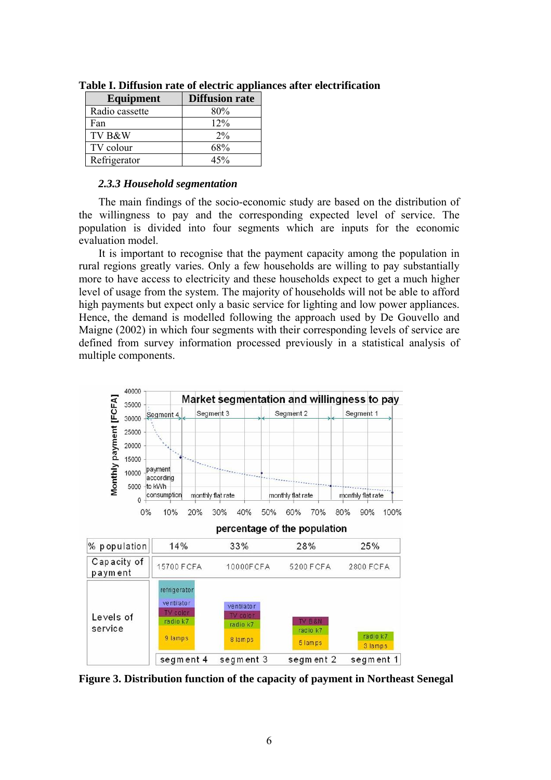| Equipment      | <b>Diffusion rate</b> |
|----------------|-----------------------|
| Radio cassette | 80%                   |
| Fan            | 12%                   |
| TV B&W         | 2%                    |
| TV colour      | 68%                   |
| Refrigerator   | 45%                   |

**Table I. Diffusion rate of electric appliances after electrification** 

## *2.3.3 Household segmentation*

The main findings of the socio-economic study are based on the distribution of the willingness to pay and the corresponding expected level of service. The population is divided into four segments which are inputs for the economic evaluation model.

It is important to recognise that the payment capacity among the population in rural regions greatly varies. Only a few households are willing to pay substantially more to have access to electricity and these households expect to get a much higher level of usage from the system. The majority of households will not be able to afford high payments but expect only a basic service for lighting and low power appliances. Hence, the demand is modelled following the approach used by De Gouvello and Maigne (2002) in which four segments with their corresponding levels of service are defined from survey information processed previously in a statistical analysis of multiple components.



**Figure 3. Distribution function of the capacity of payment in Northeast Senegal**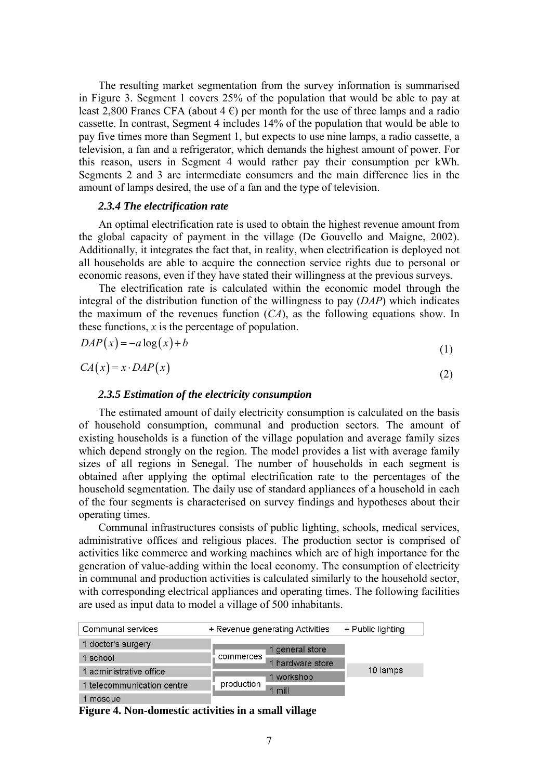The resulting market segmentation from the survey information is summarised in Figure 3. Segment 1 covers 25% of the population that would be able to pay at least 2,800 Francs CFA (about 4  $\epsilon$ ) per month for the use of three lamps and a radio cassette. In contrast, Segment 4 includes 14% of the population that would be able to pay five times more than Segment 1, but expects to use nine lamps, a radio cassette, a television, a fan and a refrigerator, which demands the highest amount of power. For this reason, users in Segment 4 would rather pay their consumption per kWh. Segments 2 and 3 are intermediate consumers and the main difference lies in the amount of lamps desired, the use of a fan and the type of television.

#### *2.3.4 The electrification rate*

An optimal electrification rate is used to obtain the highest revenue amount from the global capacity of payment in the village (De Gouvello and Maigne, 2002). Additionally, it integrates the fact that, in reality, when electrification is deployed not all households are able to acquire the connection service rights due to personal or economic reasons, even if they have stated their willingness at the previous surveys.

The electrification rate is calculated within the economic model through the integral of the distribution function of the willingness to pay (*DAP*) which indicates the maximum of the revenues function (*CA*), as the following equations show. In these functions,  $x$  is the percentage of population.

$$
DAP(x) = -a \log(x) + b \tag{1}
$$

$$
CA(x) = x \cdot DAP(x) \tag{2}
$$

#### *2.3.5 Estimation of the electricity consumption*

The estimated amount of daily electricity consumption is calculated on the basis of household consumption, communal and production sectors. The amount of existing households is a function of the village population and average family sizes which depend strongly on the region. The model provides a list with average family sizes of all regions in Senegal. The number of households in each segment is obtained after applying the optimal electrification rate to the percentages of the household segmentation. The daily use of standard appliances of a household in each of the four segments is characterised on survey findings and hypotheses about their operating times.

Communal infrastructures consists of public lighting, schools, medical services, administrative offices and religious places. The production sector is comprised of activities like commerce and working machines which are of high importance for the generation of value-adding within the local economy. The consumption of electricity in communal and production activities is calculated similarly to the household sector, with corresponding electrical appliances and operating times. The following facilities are used as input data to model a village of 500 inhabitants.

| Communal services          | + Revenue generating Activities | + Public lighting |  |  |  |
|----------------------------|---------------------------------|-------------------|--|--|--|
| 1 doctor's surgery         | 1 general store                 |                   |  |  |  |
| 1 school                   | commerces<br>1 hardware store   |                   |  |  |  |
| 1 administrative office    | 1 workshop                      | 10 lamps          |  |  |  |
| 1 telecommunication centre | production<br>$1$ mill          |                   |  |  |  |
| <b>MAANLIA</b>             |                                 |                   |  |  |  |

**Figure 4. Non-domestic activities in a small village**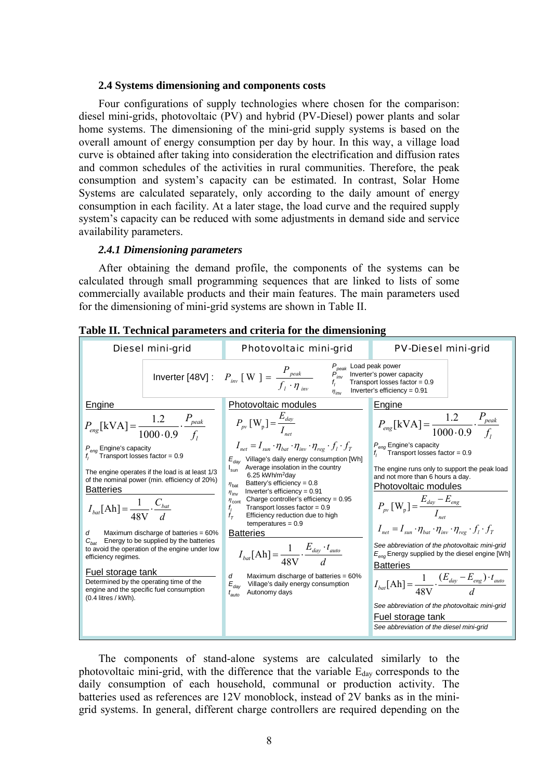#### **2.4 Systems dimensioning and components costs**

Four configurations of supply technologies where chosen for the comparison: diesel mini-grids, photovoltaic (PV) and hybrid (PV-Diesel) power plants and solar home systems. The dimensioning of the mini-grid supply systems is based on the overall amount of energy consumption per day by hour. In this way, a village load curve is obtained after taking into consideration the electrification and diffusion rates and common schedules of the activities in rural communities. Therefore, the peak consumption and system's capacity can be estimated. In contrast, Solar Home Systems are calculated separately, only according to the daily amount of energy consumption in each facility. At a later stage, the load curve and the required supply system's capacity can be reduced with some adjustments in demand side and service availability parameters.

## *2.4.1 Dimensioning parameters*

After obtaining the demand profile, the components of the systems can be calculated through small programming sequences that are linked to lists of some commercially available products and their main features. The main parameters used for the dimensioning of mini-grid systems are shown in Table II.

|                                                                           |                                                                                                                                                                                                                                   | Photovoltaic mini-grid                                                                                                                                                                                                                                                                                            |                                                                                                                                                                                                                                                                                                                            |
|---------------------------------------------------------------------------|-----------------------------------------------------------------------------------------------------------------------------------------------------------------------------------------------------------------------------------|-------------------------------------------------------------------------------------------------------------------------------------------------------------------------------------------------------------------------------------------------------------------------------------------------------------------|----------------------------------------------------------------------------------------------------------------------------------------------------------------------------------------------------------------------------------------------------------------------------------------------------------------------------|
|                                                                           | Diesel mini-grid                                                                                                                                                                                                                  |                                                                                                                                                                                                                                                                                                                   | <b>PV-Diesel mini-grid</b>                                                                                                                                                                                                                                                                                                 |
|                                                                           |                                                                                                                                                                                                                                   | <b>Inverter [48V]</b> : $P_{inv}$ [W ] = $\frac{P_{peak}}{f_l \cdot \eta_{inv}}$ $\begin{array}{c} P_{peak} \text{ Load peak power} \\ f_i^{\text{flow}} \text{ Inverter's power c} \end{array}$                                                                                                                  | Inverter's power capacity<br>Transport losses factor = $0.9$<br>Inverter's efficiency = $0.91$                                                                                                                                                                                                                             |
| <b>Engine</b>                                                             |                                                                                                                                                                                                                                   | Photovoltaic modules                                                                                                                                                                                                                                                                                              | <b>Engine</b>                                                                                                                                                                                                                                                                                                              |
| $P_{eng}$ Engine's capacity<br>$f_i$ Transport losses factor = 0.9        | $P_{eng}$ [kVA] = $\frac{1.2}{1000 \cdot 0.9} \cdot \frac{P_{peak}}{f}$<br>The engine operates if the load is at least 1/3                                                                                                        | $P_{\text{pv}}\left[\text{W}_{\text{p}}\right] = \frac{E_{\text{day}}}{I_{\text{net}}}$<br>$I_{net} = I_{sun} \cdot \eta_{bat} \cdot \eta_{inv} \cdot \eta_{reg} \cdot f_i \cdot f_i$<br>Village's daily energy consumption [Wh]<br>$E_{\text{dav}}$<br>Average insolation in the country<br>I <sub>sun</sub>     | $P_{eng}$ [kVA] = $\frac{1.2}{1000 \cdot 0.9} \cdot \frac{P_{peak}}{f}$<br>$P_{eng}$ Engine's capacity<br>$f_i$ Transport losses factor = 0.9<br>The engine runs only to support the peak load                                                                                                                             |
| <b>Batteries</b><br>$I_{bat}[Ah] = \frac{1}{48V} \cdot \frac{C_{bat}}{d}$ | of the nominal power (min. efficiency of 20%)                                                                                                                                                                                     | 6.25 kWh/m <sup>2</sup> day<br>Battery's efficiency = $0.8$<br>$\eta_{\text{bat}}$<br>Inverter's efficiency = $0.91$<br>$\eta_{\text{inv}}$<br>Charge controller's efficiency = $0.95$<br>$\eta_{\text{cont}}$<br>Transport losses factor = $0.9$<br>f,                                                           | and not more than 6 hours a day.<br>Photovoltaic modules<br>$P_{pv} \left[ \mathbf{W}_{\mathrm{p}} \right] = \frac{E_{\textit{day}} - E_{\textit{eng}}}{I_{\textit{net}}}$                                                                                                                                                 |
| d<br>efficiency regimes.<br>Fuel storage tank<br>$(0.4$ litres / kWh).    | Maximum discharge of batteries = 60%<br>$C_{bat}$ Energy to be supplied by the batteries<br>to avoid the operation of the engine under low<br>Determined by the operating time of the<br>engine and the specific fuel consumption | $f_{\tau}$<br>Efficiency reduction due to high<br>$temperatures = 0.9$<br><b>Batteries</b><br>$I_{bal}[\text{Ah}] = \frac{1}{48V} \cdot \frac{E_{day} \cdot t_{auto}}{d}$<br>d<br>Maximum discharge of batteries = 60%<br>$E_{\textit{day}}$<br>Village's daily energy consumption<br>Autonomy days<br>$t_{auto}$ | $I_{net} = I_{sun} \cdot \eta_{bat} \cdot \eta_{inv} \cdot \eta_{reg} \cdot f_i \cdot f_i$<br>See abbreviation of the photovoltaic mini-grid<br>$E_{enq}$ Energy supplied by the diesel engine [Wh]<br><b>Batteries</b><br>$\boxed{I_{bat}[\text{Ah}]=\frac{1}{48\text{V}}\cdot\frac{(E_{day}-E_{eng})\cdot t_{auto}}{A}}$ |
|                                                                           |                                                                                                                                                                                                                                   |                                                                                                                                                                                                                                                                                                                   | See abbreviation of the photovoltaic mini-grid<br>Fuel storage tank<br>See abbreviation of the diesel mini-grid                                                                                                                                                                                                            |

| Table II. Technical parameters and criteria for the dimensioning |  |  |  |  |
|------------------------------------------------------------------|--|--|--|--|
|------------------------------------------------------------------|--|--|--|--|

The components of stand-alone systems are calculated similarly to the photovoltaic mini-grid, with the difference that the variable  $E_{day}$  corresponds to the daily consumption of each household, communal or production activity. The batteries used as references are 12V monoblock, instead of 2V banks as in the minigrid systems. In general, different charge controllers are required depending on the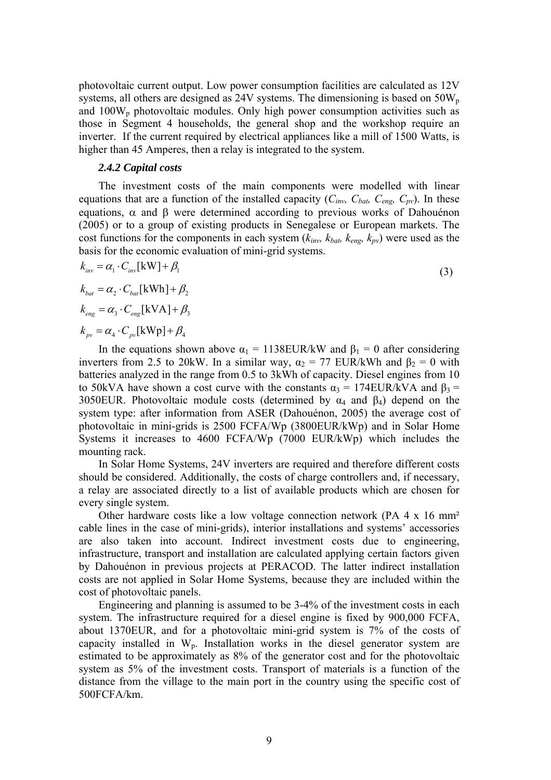photovoltaic current output. Low power consumption facilities are calculated as 12V systems, all others are designed as  $24V$  systems. The dimensioning is based on  $50W_p$ and  $100W<sub>p</sub>$  photovoltaic modules. Only high power consumption activities such as those in Segment 4 households, the general shop and the workshop require an inverter. If the current required by electrical appliances like a mill of 1500 Watts, is higher than 45 Amperes, then a relay is integrated to the system.

#### *2.4.2 Capital costs*

The investment costs of the main components were modelled with linear equations that are a function of the installed capacity  $(C_{inv}, C_{bat}, C_{eng}, C_{pv})$ . In these equations,  $\alpha$  and  $\beta$  were determined according to previous works of Dahouénon (2005) or to a group of existing products in Senegalese or European markets. The cost functions for the components in each system  $(k_{inv}, k_{hat}, k_{env}, k_{wv})$  were used as the basis for the economic evaluation of mini-grid systems.

$$
k_{inv} = \alpha_1 \cdot C_{inv}[\text{kW}] + \beta_1
$$
  
\n
$$
k_{bat} = \alpha_2 \cdot C_{bat}[\text{kWh}] + \beta_2
$$
  
\n
$$
k_{eng} = \alpha_3 \cdot C_{eng}[\text{kVA}] + \beta_3
$$
  
\n
$$
k_{pv} = \alpha_4 \cdot C_{pv}[\text{kWp}] + \beta_4
$$
 (3)

In the equations shown above  $\alpha_1 = 1138EUR/kW$  and  $\beta_1 = 0$  after considering inverters from 2.5 to 20kW. In a similar way,  $\alpha_2 = 77$  EUR/kWh and  $\beta_2 = 0$  with batteries analyzed in the range from 0.5 to 3kWh of capacity. Diesel engines from 10 to 50kVA have shown a cost curve with the constants  $\alpha_3 = 174EUR/kVA$  and  $\beta_3 =$ 3050EUR. Photovoltaic module costs (determined by  $\alpha_4$  and  $\beta_4$ ) depend on the system type: after information from ASER (Dahouénon, 2005) the average cost of photovoltaic in mini-grids is 2500 FCFA/Wp (3800EUR/kWp) and in Solar Home Systems it increases to 4600 FCFA/Wp (7000 EUR/kWp) which includes the mounting rack.

In Solar Home Systems, 24V inverters are required and therefore different costs should be considered. Additionally, the costs of charge controllers and, if necessary, a relay are associated directly to a list of available products which are chosen for every single system.

Other hardware costs like a low voltage connection network (PA 4 x 16 mm² cable lines in the case of mini-grids), interior installations and systems' accessories are also taken into account. Indirect investment costs due to engineering, infrastructure, transport and installation are calculated applying certain factors given by Dahouénon in previous projects at PERACOD. The latter indirect installation costs are not applied in Solar Home Systems, because they are included within the cost of photovoltaic panels.

Engineering and planning is assumed to be 3-4% of the investment costs in each system. The infrastructure required for a diesel engine is fixed by 900,000 FCFA, about 1370EUR, and for a photovoltaic mini-grid system is 7% of the costs of capacity installed in  $W_n$ . Installation works in the diesel generator system are estimated to be approximately as 8% of the generator cost and for the photovoltaic system as 5% of the investment costs. Transport of materials is a function of the distance from the village to the main port in the country using the specific cost of 500FCFA/km.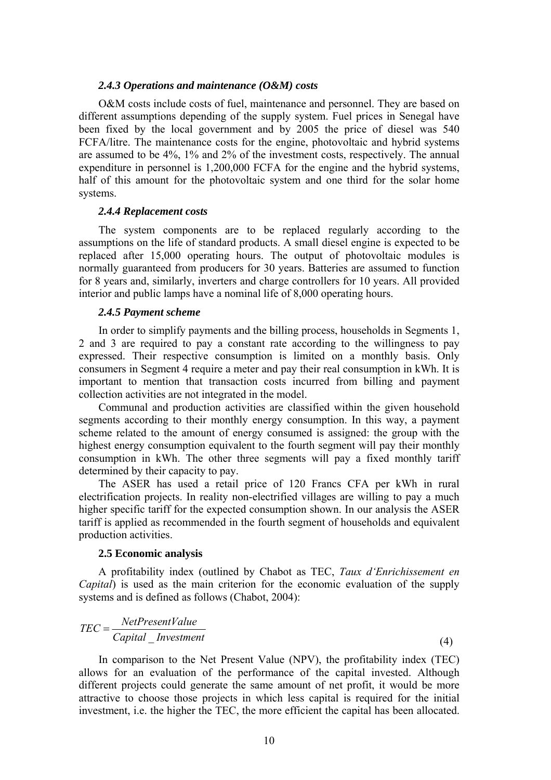#### *2.4.3 Operations and maintenance (O&M) costs*

O&M costs include costs of fuel, maintenance and personnel. They are based on different assumptions depending of the supply system. Fuel prices in Senegal have been fixed by the local government and by 2005 the price of diesel was 540 FCFA/litre. The maintenance costs for the engine, photovoltaic and hybrid systems are assumed to be 4%, 1% and 2% of the investment costs, respectively. The annual expenditure in personnel is 1,200,000 FCFA for the engine and the hybrid systems, half of this amount for the photovoltaic system and one third for the solar home systems.

#### *2.4.4 Replacement costs*

The system components are to be replaced regularly according to the assumptions on the life of standard products. A small diesel engine is expected to be replaced after 15,000 operating hours. The output of photovoltaic modules is normally guaranteed from producers for 30 years. Batteries are assumed to function for 8 years and, similarly, inverters and charge controllers for 10 years. All provided interior and public lamps have a nominal life of 8,000 operating hours.

#### *2.4.5 Payment scheme*

In order to simplify payments and the billing process, households in Segments 1, 2 and 3 are required to pay a constant rate according to the willingness to pay expressed. Their respective consumption is limited on a monthly basis. Only consumers in Segment 4 require a meter and pay their real consumption in kWh. It is important to mention that transaction costs incurred from billing and payment collection activities are not integrated in the model.

Communal and production activities are classified within the given household segments according to their monthly energy consumption. In this way, a payment scheme related to the amount of energy consumed is assigned: the group with the highest energy consumption equivalent to the fourth segment will pay their monthly consumption in kWh. The other three segments will pay a fixed monthly tariff determined by their capacity to pay.

The ASER has used a retail price of 120 Francs CFA per kWh in rural electrification projects. In reality non-electrified villages are willing to pay a much higher specific tariff for the expected consumption shown. In our analysis the ASER tariff is applied as recommended in the fourth segment of households and equivalent production activities.

#### **2.5 Economic analysis**

A profitability index (outlined by Chabot as TEC, *Taux d'Enrichissement en Capital*) is used as the main criterion for the economic evaluation of the supply systems and is defined as follows (Chabot, 2004):

$$
TEC = \frac{NetPresentValue}{Capital\_Investment}
$$
\n(4)

In comparison to the Net Present Value (NPV), the profitability index (TEC) allows for an evaluation of the performance of the capital invested. Although different projects could generate the same amount of net profit, it would be more attractive to choose those projects in which less capital is required for the initial investment, i.e. the higher the TEC, the more efficient the capital has been allocated.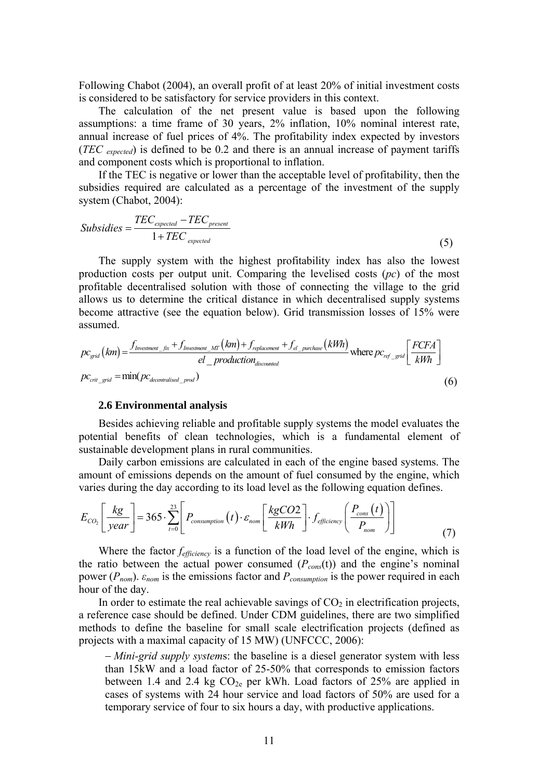Following Chabot (2004), an overall profit of at least 20% of initial investment costs is considered to be satisfactory for service providers in this context.

The calculation of the net present value is based upon the following assumptions: a time frame of 30 years, 2% inflation, 10% nominal interest rate, annual increase of fuel prices of 4%. The profitability index expected by investors (*TEC expected*) is defined to be 0.2 and there is an annual increase of payment tariffs and component costs which is proportional to inflation.

If the TEC is negative or lower than the acceptable level of profitability, then the subsidies required are calculated as a percentage of the investment of the supply system (Chabot, 2004):

$$
Subsidies = \frac{TEC_{expected} - TEC_{present}}{1 + TEC_{expected}}
$$
\n(5)

The supply system with the highest profitability index has also the lowest production costs per output unit. Comparing the levelised costs (*pc*) of the most profitable decentralised solution with those of connecting the village to the grid allows us to determine the critical distance in which decentralised supply systems become attractive (see the equation below). Grid transmission losses of 15% were assumed.

$$
pc_{grid}(km) = \frac{f_{\text{Investment\_fix}} + f_{\text{Investment\_MT}}(km) + f_{\text{replacement}} + f_{el\_purchase}(kWh)}{el\_production_{discounted}}
$$
 where  $pc_{ref\_grid}$   $\left[ \frac{FCFA}{kWh} \right]$   

$$
pc_{crit\_grid} = \min(pc_{decentralised\_prod})
$$
 (6)

#### **2.6 Environmental analysis**

Besides achieving reliable and profitable supply systems the model evaluates the potential benefits of clean technologies, which is a fundamental element of sustainable development plans in rural communities.

Daily carbon emissions are calculated in each of the engine based systems. The amount of emissions depends on the amount of fuel consumed by the engine, which varies during the day according to its load level as the following equation defines.

$$
E_{CO_2}\left[\frac{kg}{year}\right] = 365 \cdot \sum_{t=0}^{23} \left[P_{consumption}(t) \cdot \varepsilon_{nom}\left[\frac{kgCO2}{kWh}\right] \cdot f_{efficiency}\left(\frac{P_{cons}(t)}{P_{nom}}\right)\right]
$$
(7)

Where the factor *fefficiency* is a function of the load level of the engine, which is the ratio between the actual power consumed  $(P_{cons}(t))$  and the engine's nominal power  $(P_{nom})$ .  $\varepsilon_{nom}$  is the emissions factor and  $P_{consumption}$  is the power required in each hour of the day.

In order to estimate the real achievable savings of  $CO<sub>2</sub>$  in electrification projects, a reference case should be defined. Under CDM guidelines, there are two simplified methods to define the baseline for small scale electrification projects (defined as projects with a maximal capacity of 15 MW) (UNFCCC, 2006):

− *Mini-grid supply system*s: the baseline is a diesel generator system with less than 15kW and a load factor of 25-50% that corresponds to emission factors between 1.4 and 2.4 kg  $CO<sub>2e</sub>$  per kWh. Load factors of 25% are applied in cases of systems with 24 hour service and load factors of 50% are used for a temporary service of four to six hours a day, with productive applications.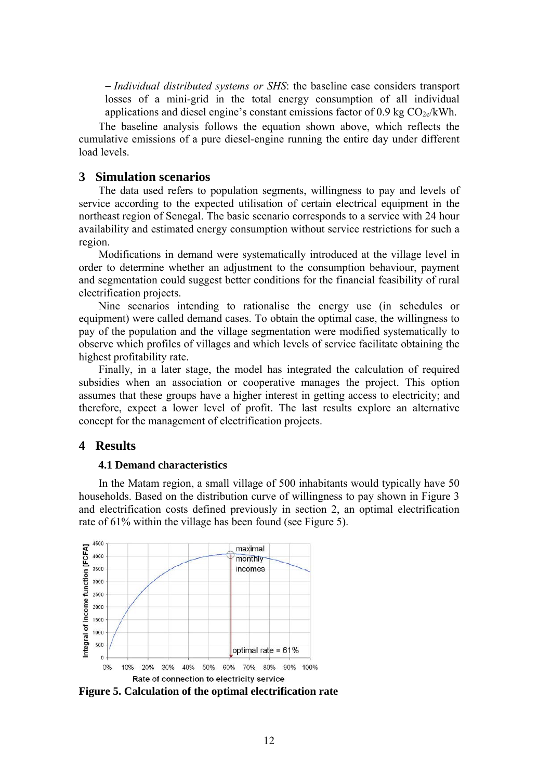− *Individual distributed systems or SHS*: the baseline case considers transport losses of a mini-grid in the total energy consumption of all individual applications and diesel engine's constant emissions factor of 0.9 kg  $CO_{2e}/kWh$ .

The baseline analysis follows the equation shown above, which reflects the cumulative emissions of a pure diesel-engine running the entire day under different load levels.

# **3 Simulation scenarios**

The data used refers to population segments, willingness to pay and levels of service according to the expected utilisation of certain electrical equipment in the northeast region of Senegal. The basic scenario corresponds to a service with 24 hour availability and estimated energy consumption without service restrictions for such a region.

Modifications in demand were systematically introduced at the village level in order to determine whether an adjustment to the consumption behaviour, payment and segmentation could suggest better conditions for the financial feasibility of rural electrification projects.

Nine scenarios intending to rationalise the energy use (in schedules or equipment) were called demand cases. To obtain the optimal case, the willingness to pay of the population and the village segmentation were modified systematically to observe which profiles of villages and which levels of service facilitate obtaining the highest profitability rate.

Finally, in a later stage, the model has integrated the calculation of required subsidies when an association or cooperative manages the project. This option assumes that these groups have a higher interest in getting access to electricity; and therefore, expect a lower level of profit. The last results explore an alternative concept for the management of electrification projects.

## **4 Results**

## **4.1 Demand characteristics**

In the Matam region, a small village of 500 inhabitants would typically have 50 households. Based on the distribution curve of willingness to pay shown in Figure 3 and electrification costs defined previously in section 2, an optimal electrification rate of 61% within the village has been found (see Figure 5).



**Figure 5. Calculation of the optimal electrification rate**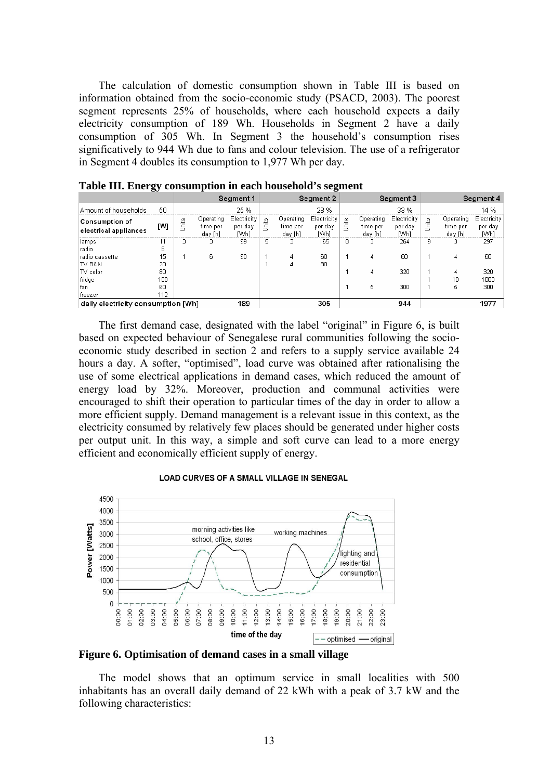The calculation of domestic consumption shown in Table III is based on information obtained from the socio-economic study (PSACD, 2003). The poorest segment represents 25% of households, where each household expects a daily electricity consumption of 189 Wh. Households in Segment 2 have a daily consumption of 305 Wh. In Segment 3 the household's consumption rises significatively to 944 Wh due to fans and colour television. The use of a refrigerator in Segment 4 doubles its consumption to 1,977 Wh per day.

|                                                | $\tilde{}$ |       |                                  | Segment 1                      |       |                                  | ັ<br>Segment 2                 |              |                                  | Segment 3                      |       |                                  | Segment 4                      |
|------------------------------------------------|------------|-------|----------------------------------|--------------------------------|-------|----------------------------------|--------------------------------|--------------|----------------------------------|--------------------------------|-------|----------------------------------|--------------------------------|
| Amount of households                           | 50         |       |                                  | 25 %                           |       |                                  | 28 %                           |              |                                  | 33 %                           |       |                                  | 14 %                           |
| <b>Consumption of</b><br>electrical appliances | [W]        | Jnits | Operating<br>time per<br>day [h] | Electricity<br>per day<br>[Wh] | Jnits | Operating<br>time per<br>day [h] | Electricity<br>per day<br>[Wh] | <b>Jnits</b> | Operating<br>time per<br>day [h] | Electricity<br>per day<br>IWhl | Jnits | Operating<br>time per<br>day [h] | Electricity<br>per day<br>[Wh] |
| lamps.<br>radio.                               | 5          | з     |                                  | 99                             | 5     | 3                                | 165                            | 8            | з                                | 264                            | 9     | Э                                | 297                            |
| Iradio cassette<br>TV B&N                      | 15<br>20   |       | 6                                | -90                            |       | 4<br>4                           | 60<br>80                       |              | 4                                | 60                             |       | 4                                | 60                             |
| $\mathsf{TV}\xspace$ color<br>fridge           | 80<br>100  |       |                                  |                                |       |                                  |                                |              | 4                                | 320                            |       | 4<br>10                          | 320<br>1000                    |
| lfan.<br>freezer                               | 60<br>112  |       |                                  |                                |       |                                  |                                |              | 5                                | 300                            |       | 5                                | 300                            |
| daily electricity consumption [Wh]             |            |       |                                  | 189                            |       |                                  | 305                            |              |                                  | 944                            |       |                                  | 1977                           |

**Table III. Energy consumption in each household's segment** 

The first demand case, designated with the label "original" in Figure 6, is built based on expected behaviour of Senegalese rural communities following the socioeconomic study described in section 2 and refers to a supply service available 24 hours a day. A softer, "optimised", load curve was obtained after rationalising the use of some electrical applications in demand cases, which reduced the amount of energy load by 32%. Moreover, production and communal activities were encouraged to shift their operation to particular times of the day in order to allow a more efficient supply. Demand management is a relevant issue in this context, as the electricity consumed by relatively few places should be generated under higher costs per output unit. In this way, a simple and soft curve can lead to a more energy efficient and economically efficient supply of energy.



**LOAD CURVES OF A SMALL VILLAGE IN SENEGAL** 

**Figure 6. Optimisation of demand cases in a small village** 

The model shows that an optimum service in small localities with 500 inhabitants has an overall daily demand of 22 kWh with a peak of 3.7 kW and the following characteristics: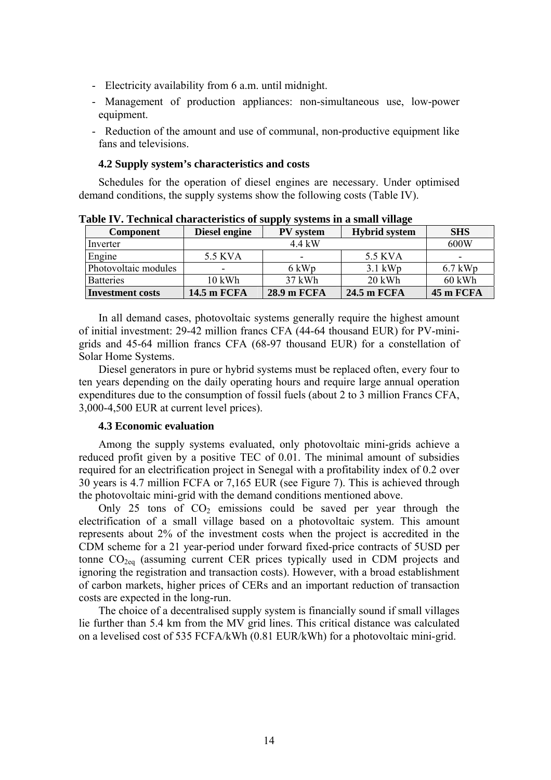- Electricity availability from 6 a.m. until midnight.
- Management of production appliances: non-simultaneous use, low-power equipment.
- Reduction of the amount and use of communal, non-productive equipment like fans and televisions.

## **4.2 Supply system's characteristics and costs**

Schedules for the operation of diesel engines are necessary. Under optimised demand conditions, the supply systems show the following costs (Table IV).

| Table IV. Technical characteristics of supply systems in a small vinage |                                                           |             |                    |                          |  |  |  |  |
|-------------------------------------------------------------------------|-----------------------------------------------------------|-------------|--------------------|--------------------------|--|--|--|--|
| <b>Component</b>                                                        | <b>Hybrid</b> system<br>Diesel engine<br><b>PV</b> system |             | <b>SHS</b>         |                          |  |  |  |  |
| Inverter                                                                |                                                           | 44 kW       |                    | 600W                     |  |  |  |  |
| Engine                                                                  | 5.5 KVA                                                   | -           | 5.5 KVA            | $\overline{\phantom{0}}$ |  |  |  |  |
| Photovoltaic modules                                                    |                                                           | 6 kWp       | $3.1 \text{ kW}$ p | $6.7$ kWp                |  |  |  |  |
| <b>Batteries</b>                                                        | 10 kWh                                                    | 37 kWh      | $20$ kWh           | 60 kWh                   |  |  |  |  |
| <b>Investment costs</b>                                                 | 14.5 m FCFA                                               | 28.9 m FCFA | 24.5 m FCFA        | 45 m FCFA                |  |  |  |  |

**Table IV. Technical characteristics of supply systems in a small village** 

In all demand cases, photovoltaic systems generally require the highest amount of initial investment: 29-42 million francs CFA (44-64 thousand EUR) for PV-minigrids and 45-64 million francs CFA (68-97 thousand EUR) for a constellation of Solar Home Systems.

Diesel generators in pure or hybrid systems must be replaced often, every four to ten years depending on the daily operating hours and require large annual operation expenditures due to the consumption of fossil fuels (about 2 to 3 million Francs CFA, 3,000-4,500 EUR at current level prices).

#### **4.3 Economic evaluation**

Among the supply systems evaluated, only photovoltaic mini-grids achieve a reduced profit given by a positive TEC of 0.01. The minimal amount of subsidies required for an electrification project in Senegal with a profitability index of 0.2 over 30 years is 4.7 million FCFA or 7,165 EUR (see Figure 7). This is achieved through the photovoltaic mini-grid with the demand conditions mentioned above.

Only 25 tons of  $CO<sub>2</sub>$  emissions could be saved per year through the electrification of a small village based on a photovoltaic system. This amount represents about 2% of the investment costs when the project is accredited in the CDM scheme for a 21 year-period under forward fixed-price contracts of 5USD per tonne  $CO<sub>2eq</sub>$  (assuming current CER prices typically used in CDM projects and ignoring the registration and transaction costs). However, with a broad establishment of carbon markets, higher prices of CERs and an important reduction of transaction costs are expected in the long-run.

The choice of a decentralised supply system is financially sound if small villages lie further than 5.4 km from the MV grid lines. This critical distance was calculated on a levelised cost of 535 FCFA/kWh (0.81 EUR/kWh) for a photovoltaic mini-grid.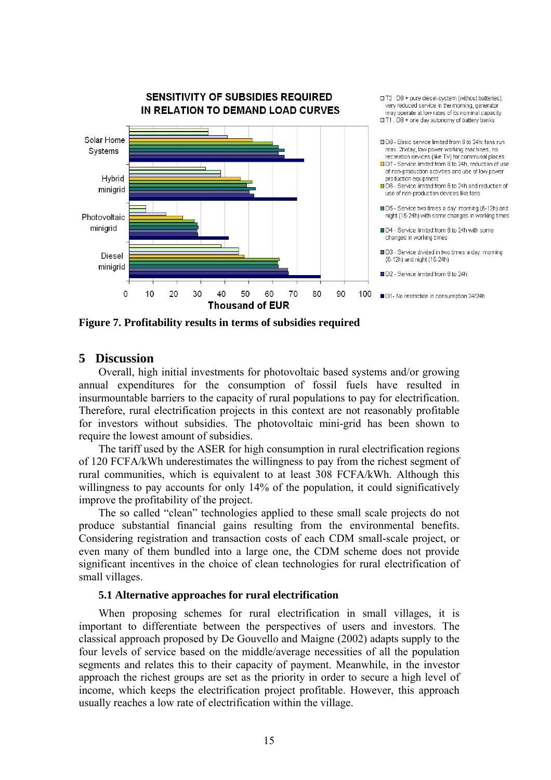

**Figure 7. Profitability results in terms of subsidies required** 

# **5 Discussion**

Overall, high initial investments for photovoltaic based systems and/or growing annual expenditures for the consumption of fossil fuels have resulted in insurmountable barriers to the capacity of rural populations to pay for electrification. Therefore, rural electrification projects in this context are not reasonably profitable for investors without subsidies. The photovoltaic mini-grid has been shown to require the lowest amount of subsidies.

The tariff used by the ASER for high consumption in rural electrification regions of 120 FCFA/kWh underestimates the willingness to pay from the richest segment of rural communities, which is equivalent to at least 308 FCFA/kWh. Although this willingness to pay accounts for only 14% of the population, it could significatively improve the profitability of the project.

The so called "clean" technologies applied to these small scale projects do not produce substantial financial gains resulting from the environmental benefits. Considering registration and transaction costs of each CDM small-scale project, or even many of them bundled into a large one, the CDM scheme does not provide significant incentives in the choice of clean technologies for rural electrification of small villages.

## **5.1 Alternative approaches for rural electrification**

When proposing schemes for rural electrification in small villages, it is important to differentiate between the perspectives of users and investors. The classical approach proposed by De Gouvello and Maigne (2002) adapts supply to the four levels of service based on the middle/average necessities of all the population segments and relates this to their capacity of payment. Meanwhile, in the investor approach the richest groups are set as the priority in order to secure a high level of income, which keeps the electrification project profitable. However, this approach usually reaches a low rate of electrification within the village.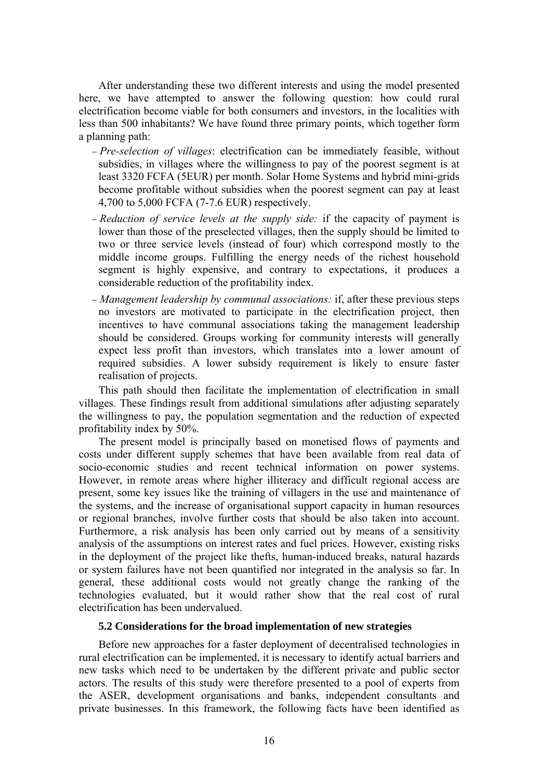After understanding these two different interests and using the model presented here, we have attempted to answer the following question: how could rural electrification become viable for both consumers and investors, in the localities with less than 500 inhabitants? We have found three primary points, which together form a planning path:

- − *Pre-selection of villages*: electrification can be immediately feasible, without subsidies, in villages where the willingness to pay of the poorest segment is at least 3320 FCFA (5EUR) per month. Solar Home Systems and hybrid mini-grids become profitable without subsidies when the poorest segment can pay at least 4,700 to 5,000 FCFA (7-7.6 EUR) respectively.
- − *Reduction of service levels at the supply side:* if the capacity of payment is lower than those of the preselected villages, then the supply should be limited to two or three service levels (instead of four) which correspond mostly to the middle income groups. Fulfilling the energy needs of the richest household segment is highly expensive, and contrary to expectations, it produces a considerable reduction of the profitability index.
- − *Management leadership by communal associations:* if, after these previous steps no investors are motivated to participate in the electrification project, then incentives to have communal associations taking the management leadership should be considered. Groups working for community interests will generally expect less profit than investors, which translates into a lower amount of required subsidies. A lower subsidy requirement is likely to ensure faster realisation of projects.

This path should then facilitate the implementation of electrification in small villages. These findings result from additional simulations after adjusting separately the willingness to pay, the population segmentation and the reduction of expected profitability index by 50%.

The present model is principally based on monetised flows of payments and costs under different supply schemes that have been available from real data of socio-economic studies and recent technical information on power systems. However, in remote areas where higher illiteracy and difficult regional access are present, some key issues like the training of villagers in the use and maintenance of the systems, and the increase of organisational support capacity in human resources or regional branches, involve further costs that should be also taken into account. Furthermore, a risk analysis has been only carried out by means of a sensitivity analysis of the assumptions on interest rates and fuel prices. However, existing risks in the deployment of the project like thefts, human-induced breaks, natural hazards or system failures have not been quantified nor integrated in the analysis so far. In general, these additional costs would not greatly change the ranking of the technologies evaluated, but it would rather show that the real cost of rural electrification has been undervalued.

#### **5.2 Considerations for the broad implementation of new strategies**

Before new approaches for a faster deployment of decentralised technologies in rural electrification can be implemented, it is necessary to identify actual barriers and new tasks which need to be undertaken by the different private and public sector actors. The results of this study were therefore presented to a pool of experts from the ASER, development organisations and banks, independent consultants and private businesses. In this framework, the following facts have been identified as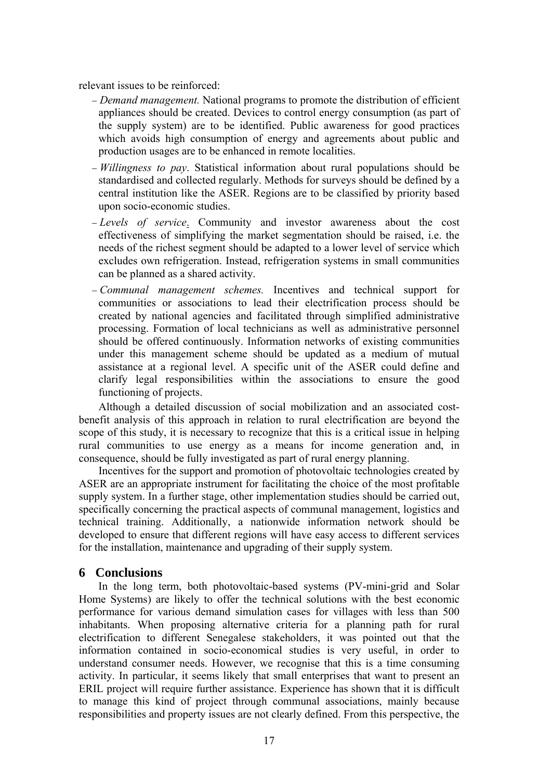relevant issues to be reinforced:

- − *Demand management.* National programs to promote the distribution of efficient appliances should be created. Devices to control energy consumption (as part of the supply system) are to be identified. Public awareness for good practices which avoids high consumption of energy and agreements about public and production usages are to be enhanced in remote localities.
- − *Willingness to pay*. Statistical information about rural populations should be standardised and collected regularly. Methods for surveys should be defined by a central institution like the ASER. Regions are to be classified by priority based upon socio-economic studies.
- − *Levels of service*. Community and investor awareness about the cost effectiveness of simplifying the market segmentation should be raised, i.e. the needs of the richest segment should be adapted to a lower level of service which excludes own refrigeration. Instead, refrigeration systems in small communities can be planned as a shared activity.
- − *Communal management schemes.* Incentives and technical support for communities or associations to lead their electrification process should be created by national agencies and facilitated through simplified administrative processing. Formation of local technicians as well as administrative personnel should be offered continuously. Information networks of existing communities under this management scheme should be updated as a medium of mutual assistance at a regional level. A specific unit of the ASER could define and clarify legal responsibilities within the associations to ensure the good functioning of projects.

Although a detailed discussion of social mobilization and an associated costbenefit analysis of this approach in relation to rural electrification are beyond the scope of this study, it is necessary to recognize that this is a critical issue in helping rural communities to use energy as a means for income generation and, in consequence, should be fully investigated as part of rural energy planning.

Incentives for the support and promotion of photovoltaic technologies created by ASER are an appropriate instrument for facilitating the choice of the most profitable supply system. In a further stage, other implementation studies should be carried out, specifically concerning the practical aspects of communal management, logistics and technical training. Additionally, a nationwide information network should be developed to ensure that different regions will have easy access to different services for the installation, maintenance and upgrading of their supply system.

## **6 Conclusions**

In the long term, both photovoltaic-based systems (PV-mini-grid and Solar Home Systems) are likely to offer the technical solutions with the best economic performance for various demand simulation cases for villages with less than 500 inhabitants. When proposing alternative criteria for a planning path for rural electrification to different Senegalese stakeholders, it was pointed out that the information contained in socio-economical studies is very useful, in order to understand consumer needs. However, we recognise that this is a time consuming activity. In particular, it seems likely that small enterprises that want to present an ERIL project will require further assistance. Experience has shown that it is difficult to manage this kind of project through communal associations, mainly because responsibilities and property issues are not clearly defined. From this perspective, the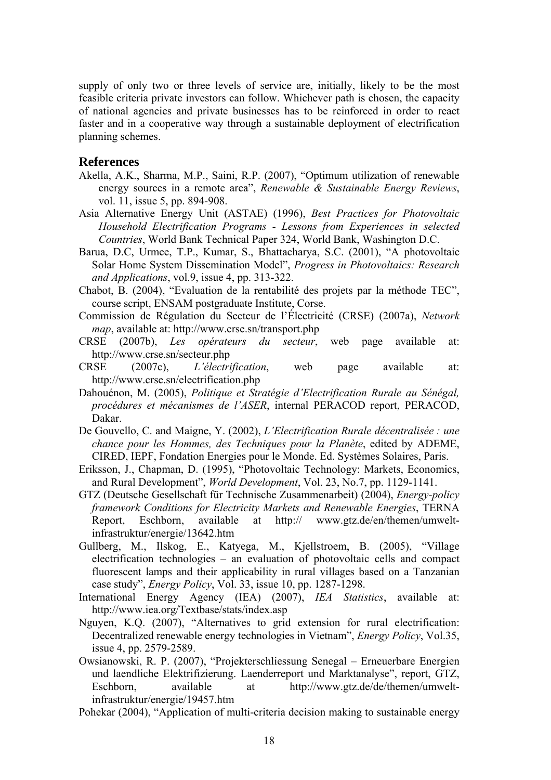supply of only two or three levels of service are, initially, likely to be the most feasible criteria private investors can follow. Whichever path is chosen, the capacity of national agencies and private businesses has to be reinforced in order to react faster and in a cooperative way through a sustainable deployment of electrification planning schemes.

## **References**

- Akella, A.K., Sharma, M.P., Saini, R.P. (2007), "Optimum utilization of renewable energy sources in a remote area", *Renewable & Sustainable Energy Reviews*, vol. 11, issue 5, pp. 894-908.
- Asia Alternative Energy Unit (ASTAE) (1996), *Best Practices for Photovoltaic Household Electrification Programs - Lessons from Experiences in selected Countries*, World Bank Technical Paper 324, World Bank, Washington D.C.
- Barua, D.C, Urmee, T.P., Kumar, S., Bhattacharya, S.C. (2001), "A photovoltaic Solar Home System Dissemination Model", *Progress in Photovoltaics: Research and Applications*, vol.9, issue 4, pp. 313-322.
- Chabot, B. (2004), "Evaluation de la rentabilité des projets par la méthode TEC", course script, ENSAM postgraduate Institute, Corse.
- Commission de Régulation du Secteur de l'Électricité (CRSE) (2007a), *Network map*, available at: http://www.crse.sn/transport.php
- CRSE (2007b), *Les opérateurs du secteur*, web page available at: http://www.crse.sn/secteur.php
- CRSE (2007c), *L'électrification*, web page available at: http://www.crse.sn/electrification.php
- Dahouénon, M. (2005), *Politique et Stratégie d'Electrification Rurale au Sénégal, procédures et mécanismes de l'ASER*, internal PERACOD report, PERACOD, Dakar.
- De Gouvello, C. and Maigne, Y. (2002), *L'Electrification Rurale décentralisée : une chance pour les Hommes, des Techniques pour la Planète*, edited by ADEME, CIRED, IEPF, Fondation Energies pour le Monde. Ed. Systèmes Solaires, Paris.
- Eriksson, J., Chapman, D. (1995), "Photovoltaic Technology: Markets, Economics, and Rural Development", *World Development*, Vol. 23, No.7, pp. 1129-1141.
- GTZ (Deutsche Gesellschaft für Technische Zusammenarbeit) (2004), *Energy-policy framework Conditions for Electricity Markets and Renewable Energies*, TERNA Report, Eschborn, available at http:// www.gtz.de/en/themen/umweltinfrastruktur/energie/13642.htm
- Gullberg, M., Ilskog, E., Katyega, M., Kjellstroem, B. (2005), "Village electrification technologies – an evaluation of photovoltaic cells and compact fluorescent lamps and their applicability in rural villages based on a Tanzanian case study", *Energy Policy*, Vol. 33, issue 10, pp. 1287-1298.
- International Energy Agency (IEA) (2007), *IEA Statistics*, available at: http://www.iea.org/Textbase/stats/index.asp
- Nguyen, K.Q. (2007), "Alternatives to grid extension for rural electrification: Decentralized renewable energy technologies in Vietnam", *Energy Policy*, Vol.35, issue 4, pp. 2579-2589.
- Owsianowski, R. P. (2007), "Projekterschliessung Senegal Erneuerbare Energien und laendliche Elektrifizierung. Laenderreport und Marktanalyse", report, GTZ, Eschborn, available at http://www.gtz.de/de/themen/umweltinfrastruktur/energie/19457.htm

Pohekar (2004), "Application of multi-criteria decision making to sustainable energy